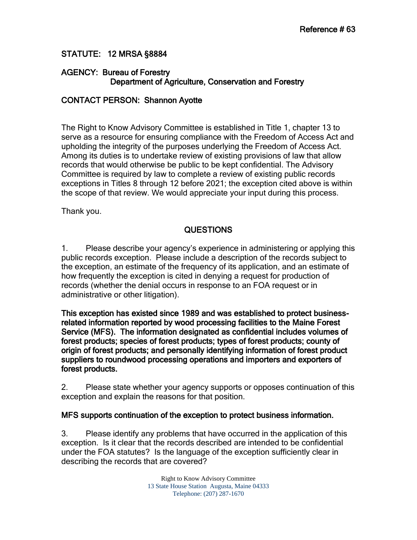# STATUTE: 12 MRSA §8884

## AGENCY: Bureau of Forestry Department of Agriculture, Conservation and Forestry

## CONTACT PERSON: Shannon Ayotte

The Right to Know Advisory Committee is established in Title 1, chapter 13 to serve as a resource for ensuring compliance with the Freedom of Access Act and upholding the integrity of the purposes underlying the Freedom of Access Act. Among its duties is to undertake review of existing provisions of law that allow records that would otherwise be public to be kept confidential. The Advisory Committee is required by law to complete a review of existing public records exceptions in Titles 8 through 12 before 2021; the exception cited above is within the scope of that review. We would appreciate your input during this process.

Thank you.

## QUESTIONS

1. Please describe your agency's experience in administering or applying this public records exception. Please include a description of the records subject to the exception, an estimate of the frequency of its application, and an estimate of how frequently the exception is cited in denying a request for production of records (whether the denial occurs in response to an FOA request or in administrative or other litigation).

This exception has existed since 1989 and was established to protect businessrelated information reported by wood processing facilities to the Maine Forest Service (MFS). The information designated as confidential includes volumes of forest products; species of forest products; types of forest products; county of origin of forest products; and personally identifying information of forest product suppliers to roundwood processing operations and importers and exporters of forest products.

2. Please state whether your agency supports or opposes continuation of this exception and explain the reasons for that position.

## MFS supports continuation of the exception to protect business information.

3. Please identify any problems that have occurred in the application of this exception. Is it clear that the records described are intended to be confidential under the FOA statutes? Is the language of the exception sufficiently clear in describing the records that are covered?